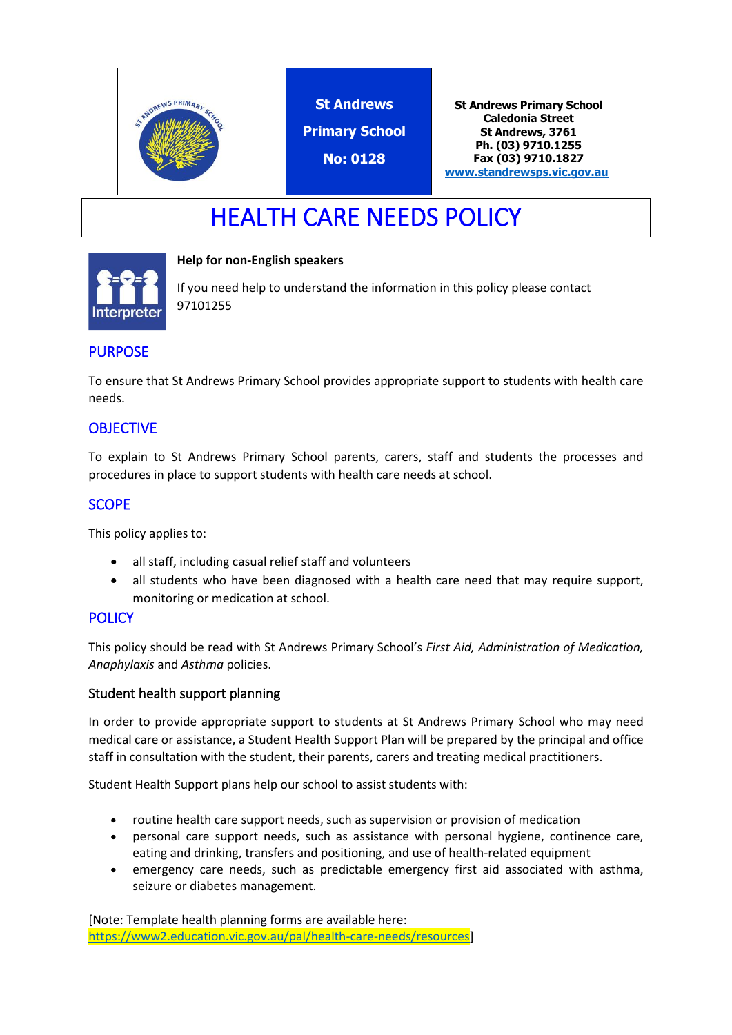

**St Andrews Primary School**

**No: 0128**

**St Andrews Primary School Caledonia Street St Andrews, 3761 Ph. (03) 9710.1255 Fax (03) 9710.1827 [www.standrewsps.vic.gov.au](http://www.standrewsps.vic.gov.au/)**

# HEALTH CARE NEEDS POLICY

#### **Help for non-English speakers**



If you need help to understand the information in this policy please contact 97101255

## PURPOSE

To ensure that St Andrews Primary School provides appropriate support to students with health care needs.

## **OBJECTIVE**

To explain to St Andrews Primary School parents, carers, staff and students the processes and procedures in place to support students with health care needs at school.

## SCOPE

This policy applies to:

- all staff, including casual relief staff and volunteers
- all students who have been diagnosed with a health care need that may require support, monitoring or medication at school.

### **POLICY**

This policy should be read with St Andrews Primary School's *First Aid, Administration of Medication, Anaphylaxis* and *Asthma* policies.

### Student health support planning

In order to provide appropriate support to students at St Andrews Primary School who may need medical care or assistance, a Student Health Support Plan will be prepared by the principal and office staff in consultation with the student, their parents, carers and treating medical practitioners.

Student Health Support plans help our school to assist students with:

- routine health care support needs, such as supervision or provision of medication
- personal care support needs, such as assistance with personal hygiene, continence care, eating and drinking, transfers and positioning, and use of health-related equipment
- emergency care needs, such as predictable emergency first aid associated with asthma, seizure or diabetes management.

[Note: Template health planning forms are available here: [https://www2.education.vic.gov.au/pal/health-care-needs/resources\]](https://www2.education.vic.gov.au/pal/health-care-needs/resources)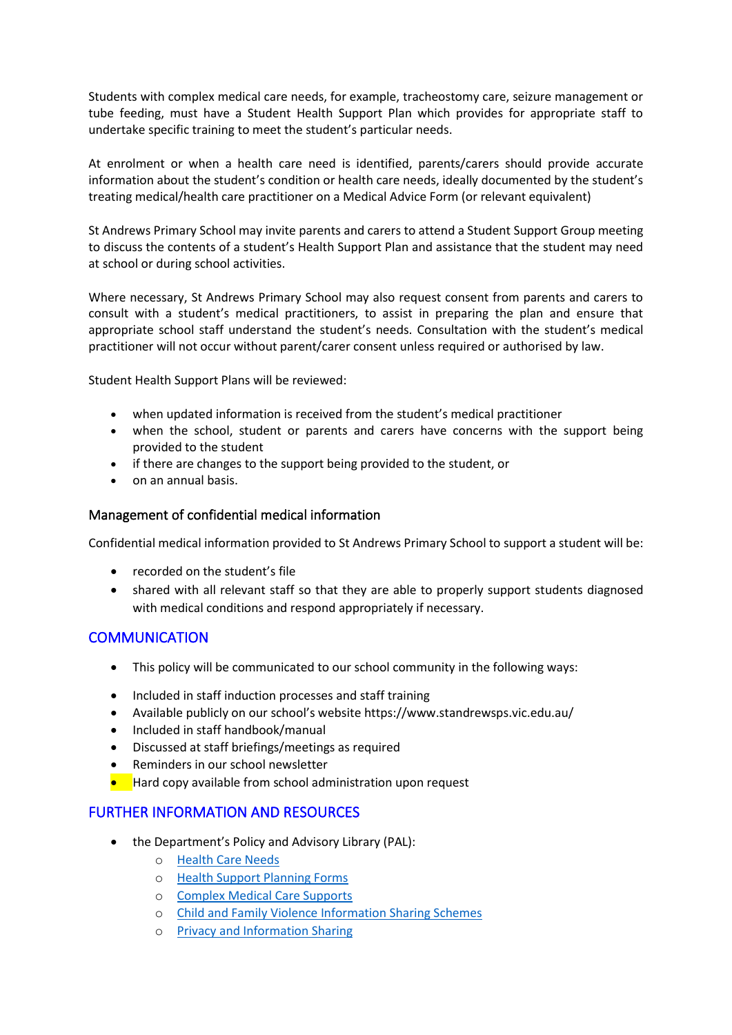Students with complex medical care needs, for example, tracheostomy care, seizure management or tube feeding, must have a Student Health Support Plan which provides for appropriate staff to undertake specific training to meet the student's particular needs.

At enrolment or when a health care need is identified, parents/carers should provide accurate information about the student's condition or health care needs, ideally documented by the student's treating medical/health care practitioner on a Medical Advice Form (or relevant equivalent)

St Andrews Primary School may invite parents and carers to attend a Student Support Group meeting to discuss the contents of a student's Health Support Plan and assistance that the student may need at school or during school activities.

Where necessary, St Andrews Primary School may also request consent from parents and carers to consult with a student's medical practitioners, to assist in preparing the plan and ensure that appropriate school staff understand the student's needs. Consultation with the student's medical practitioner will not occur without parent/carer consent unless required or authorised by law.

Student Health Support Plans will be reviewed:

- when updated information is received from the student's medical practitioner
- when the school, student or parents and carers have concerns with the support being provided to the student
- if there are changes to the support being provided to the student, or
- on an annual basis.

#### Management of confidential medical information

Confidential medical information provided to St Andrews Primary School to support a student will be:

- recorded on the student's file
- shared with all relevant staff so that they are able to properly support students diagnosed with medical conditions and respond appropriately if necessary.

### **COMMUNICATION**

- This policy will be communicated to our school community in the following ways:
- Included in staff induction processes and staff training
- Available publicly on our school's website https://www.standrewsps.vic.edu.au/
- Included in staff handbook/manual
- Discussed at staff briefings/meetings as required
- Reminders in our school newsletter
- Hard copy available from school administration upon request

### FURTHER INFORMATION AND RESOURCES

- the Department's Policy and Advisory Library (PAL):
	- o [Health Care Needs](http://www.education.vic.gov.au/school/principals/spag/health/Pages/healthcareneeds.aspx#link80)
	- o [Health Support Planning Forms](http://www.education.vic.gov.au/school/principals/spag/health/Pages/supportplanning.aspx)
	- o [Complex Medical Care Supports](https://www2.education.vic.gov.au/pal/health-care-needs/guidance/complex-medical-care-supports)
	- o [Child and Family Violence Information Sharing Schemes](https://www2.education.vic.gov.au/pal/information-sharing-schemes/policy)
	- o [Privacy and Information Sharing](https://www2.education.vic.gov.au/pal/privacy-information-sharing/policy)